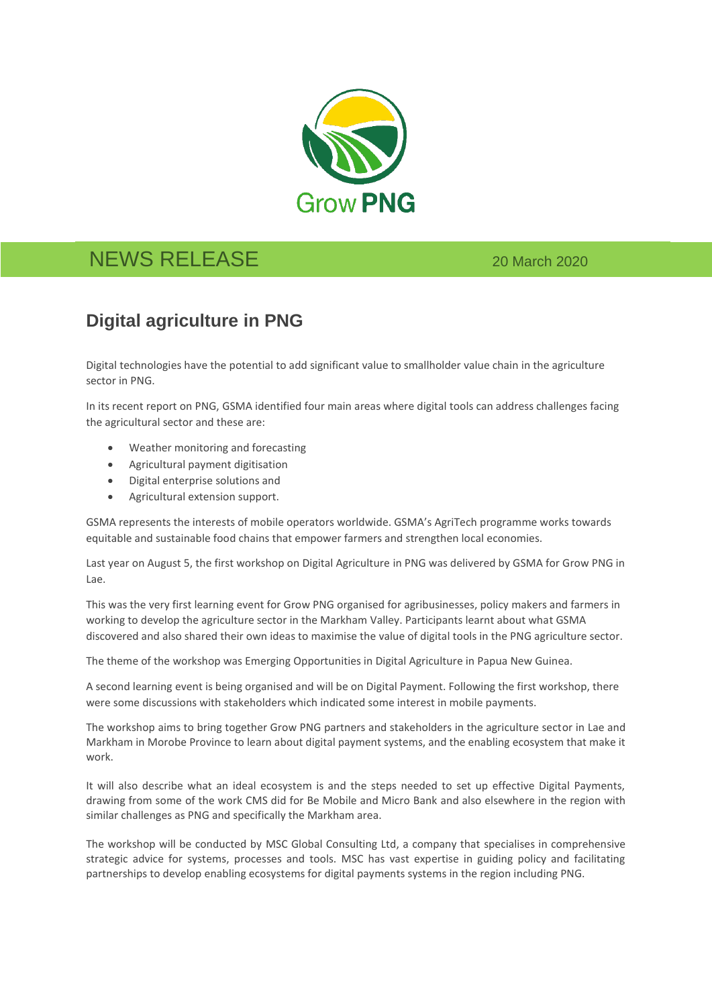

## NEWS RELEASE 20 March 2020

## **Digital agriculture in PNG**

Digital technologies have the potential to add significant value to smallholder value chain in the agriculture sector in PNG.

In its recent report on PNG, GSMA identified four main areas where digital tools can address challenges facing the agricultural sector and these are:

- Weather monitoring and forecasting
- Agricultural payment digitisation
- Digital enterprise solutions and
- Agricultural extension support.

GSMA represents the interests of mobile operators worldwide. GSMA's AgriTech programme works towards equitable and sustainable food chains that empower farmers and strengthen local economies.

Last year on August 5, the first workshop on Digital Agriculture in PNG was delivered by GSMA for Grow PNG in Lae.

This was the very first learning event for Grow PNG organised for agribusinesses, policy makers and farmers in working to develop the agriculture sector in the Markham Valley. Participants learnt about what GSMA discovered and also shared their own ideas to maximise the value of digital tools in the PNG agriculture sector.

The theme of the workshop was Emerging Opportunities in Digital Agriculture in Papua New Guinea.

A second learning event is being organised and will be on Digital Payment. Following the first workshop, there were some discussions with stakeholders which indicated some interest in mobile payments.

The workshop aims to bring together Grow PNG partners and stakeholders in the agriculture sector in Lae and Markham in Morobe Province to learn about digital payment systems, and the enabling ecosystem that make it work.

It will also describe what an ideal ecosystem is and the steps needed to set up effective Digital Payments, drawing from some of the work CMS did for Be Mobile and Micro Bank and also elsewhere in the region with similar challenges as PNG and specifically the Markham area.

The workshop will be conducted by MSC Global Consulting Ltd, a company that specialises in comprehensive strategic advice for systems, processes and tools. MSC has vast expertise in guiding policy and facilitating partnerships to develop enabling ecosystems for digital payments systems in the region including PNG.